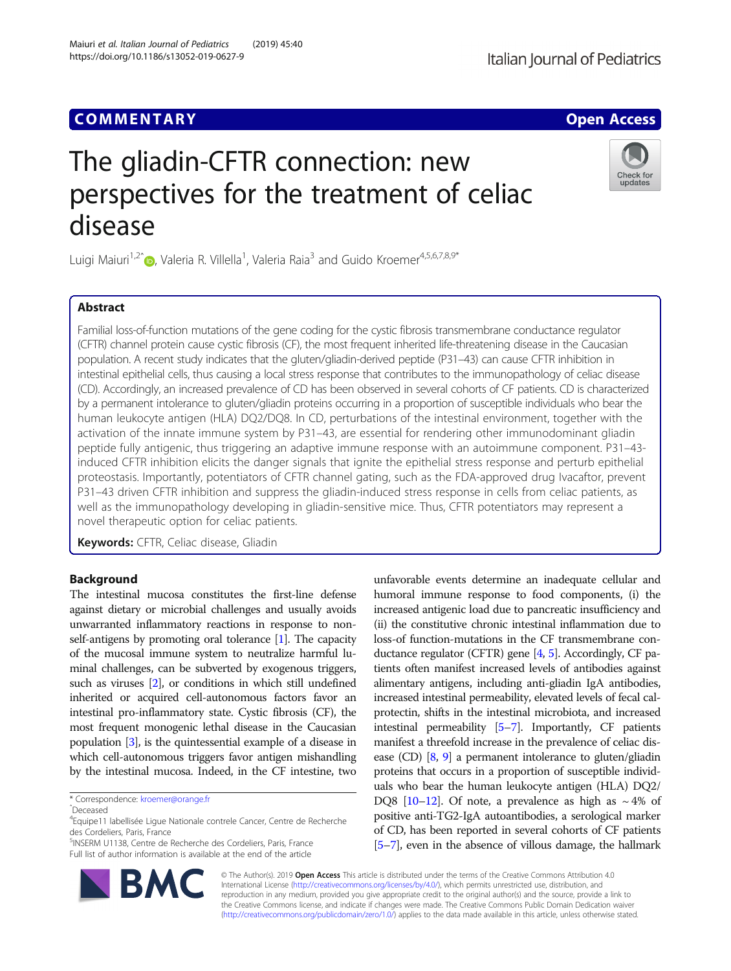## **COMMENTARY COMMENTARY** And the community of the community of the community of the community of the community of the community of the community of the community of the community of the community of the community of the com

# The gliadin-CFTR connection: new perspectives for the treatment of celiac disease

Luigi Maiuri<sup>1,2</sup>[ˆ](http://orcid.org/0000-0002-4962-9016) , Valeria R. Villella<sup>1</sup>, Valeria Raia<sup>3</sup> and Guido Kroemer<sup>4,5,6,7,8,9\*</sup>

## Abstract

Familial loss-of-function mutations of the gene coding for the cystic fibrosis transmembrane conductance regulator (CFTR) channel protein cause cystic fibrosis (CF), the most frequent inherited life-threatening disease in the Caucasian population. A recent study indicates that the gluten/gliadin-derived peptide (P31–43) can cause CFTR inhibition in intestinal epithelial cells, thus causing a local stress response that contributes to the immunopathology of celiac disease (CD). Accordingly, an increased prevalence of CD has been observed in several cohorts of CF patients. CD is characterized by a permanent intolerance to gluten/gliadin proteins occurring in a proportion of susceptible individuals who bear the human leukocyte antigen (HLA) DQ2/DQ8. In CD, perturbations of the intestinal environment, together with the activation of the innate immune system by P31–43, are essential for rendering other immunodominant gliadin peptide fully antigenic, thus triggering an adaptive immune response with an autoimmune component. P31–43 induced CFTR inhibition elicits the danger signals that ignite the epithelial stress response and perturb epithelial proteostasis. Importantly, potentiators of CFTR channel gating, such as the FDA-approved drug Ivacaftor, prevent P31–43 driven CFTR inhibition and suppress the gliadin-induced stress response in cells from celiac patients, as well as the immunopathology developing in gliadin-sensitive mice. Thus, CFTR potentiators may represent a novel therapeutic option for celiac patients.

Keywords: CFTR, Celiac disease, Gliadin

## Background

The intestinal mucosa constitutes the first-line defense against dietary or microbial challenges and usually avoids unwarranted inflammatory reactions in response to nonself-antigens by promoting oral tolerance [[1](#page-2-0)]. The capacity of the mucosal immune system to neutralize harmful luminal challenges, can be subverted by exogenous triggers, such as viruses [\[2\]](#page-2-0), or conditions in which still undefined inherited or acquired cell-autonomous factors favor an intestinal pro-inflammatory state. Cystic fibrosis (CF), the most frequent monogenic lethal disease in the Caucasian population [\[3\]](#page-2-0), is the quintessential example of a disease in which cell-autonomous triggers favor antigen mishandling by the intestinal mucosa. Indeed, in the CF intestine, two

\* Correspondence: [kroemer@orange.fr](mailto:kroemer@orange.fr) <sup>ˆ</sup>Deceased

5 INSERM U1138, Centre de Recherche des Cordeliers, Paris, France Full list of author information is available at the end of the article

> © The Author(s). 2019 Open Access This article is distributed under the terms of the Creative Commons Attribution 4.0 International License [\(http://creativecommons.org/licenses/by/4.0/](http://creativecommons.org/licenses/by/4.0/)), which permits unrestricted use, distribution, and reproduction in any medium, provided you give appropriate credit to the original author(s) and the source, provide a link to the Creative Commons license, and indicate if changes were made. The Creative Commons Public Domain Dedication waiver [\(http://creativecommons.org/publicdomain/zero/1.0/](http://creativecommons.org/publicdomain/zero/1.0/)) applies to the data made available in this article, unless otherwise stated.

unfavorable events determine an inadequate cellular and humoral immune response to food components, (i) the increased antigenic load due to pancreatic insufficiency and (ii) the constitutive chronic intestinal inflammation due to loss-of function-mutations in the CF transmembrane conductance regulator (CFTR) gene [\[4](#page-2-0), [5\]](#page-2-0). Accordingly, CF patients often manifest increased levels of antibodies against alimentary antigens, including anti-gliadin IgA antibodies, increased intestinal permeability, elevated levels of fecal calprotectin, shifts in the intestinal microbiota, and increased intestinal permeability [\[5](#page-2-0)–[7](#page-3-0)]. Importantly, CF patients manifest a threefold increase in the prevalence of celiac disease (CD)  $[8, 9]$  $[8, 9]$  $[8, 9]$  $[8, 9]$  $[8, 9]$  a permanent intolerance to gluten/gliadin proteins that occurs in a proportion of susceptible individuals who bear the human leukocyte antigen (HLA) DQ2/ DQ8 [[10](#page-3-0)–[12](#page-3-0)]. Of note, a prevalence as high as  $\sim$  4% of positive anti-TG2-IgA autoantibodies, a serological marker of CD, has been reported in several cohorts of CF patients [[5](#page-2-0)–[7\]](#page-3-0), even in the absence of villous damage, the hallmark





<sup>&</sup>lt;sup>4</sup>Equipe11 labellisée Ligue Nationale contrele Cancer, Centre de Recherche des Cordeliers, Paris, France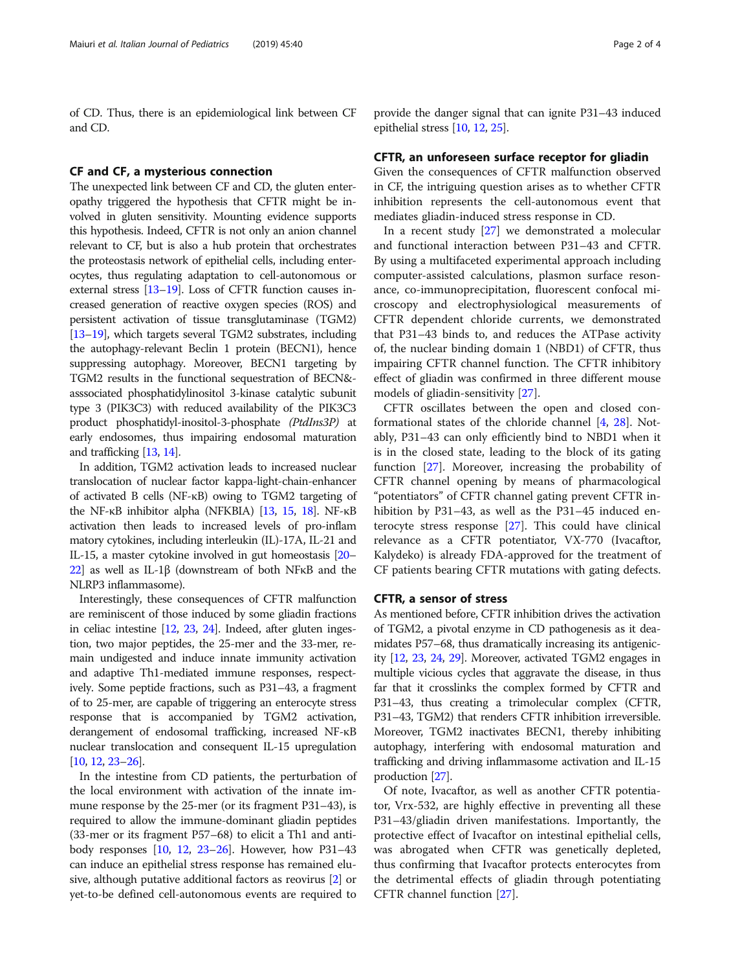of CD. Thus, there is an epidemiological link between CF and CD.

### CF and CF, a mysterious connection

The unexpected link between CF and CD, the gluten enteropathy triggered the hypothesis that CFTR might be involved in gluten sensitivity. Mounting evidence supports this hypothesis. Indeed, CFTR is not only an anion channel relevant to CF, but is also a hub protein that orchestrates the proteostasis network of epithelial cells, including enterocytes, thus regulating adaptation to cell-autonomous or external stress [\[13](#page-3-0)–[19\]](#page-3-0). Loss of CFTR function causes increased generation of reactive oxygen species (ROS) and persistent activation of tissue transglutaminase (TGM2) [[13](#page-3-0)–[19](#page-3-0)], which targets several TGM2 substrates, including the autophagy-relevant Beclin 1 protein (BECN1), hence suppressing autophagy. Moreover, BECN1 targeting by TGM2 results in the functional sequestration of BECN& asssociated phosphatidylinositol 3-kinase catalytic subunit type 3 (PIK3C3) with reduced availability of the PIK3C3 product phosphatidyl-inositol-3-phosphate (PtdIns3P) at early endosomes, thus impairing endosomal maturation and trafficking [\[13](#page-3-0), [14](#page-3-0)].

In addition, TGM2 activation leads to increased nuclear translocation of nuclear factor kappa-light-chain-enhancer of activated B cells (NF-κB) owing to TGM2 targeting of the NF-κB inhibitor alpha (NFKBIA) [\[13,](#page-3-0) [15](#page-3-0), [18](#page-3-0)]. NF-κB activation then leads to increased levels of pro-inflam matory cytokines, including interleukin (IL)-17A, IL-21 and IL-15, a master cytokine involved in gut homeostasis [\[20](#page-3-0)– [22](#page-3-0)] as well as IL-1β (downstream of both NFκB and the NLRP3 inflammasome).

Interestingly, these consequences of CFTR malfunction are reminiscent of those induced by some gliadin fractions in celiac intestine [\[12,](#page-3-0) [23](#page-3-0), [24\]](#page-3-0). Indeed, after gluten ingestion, two major peptides, the 25-mer and the 33-mer, remain undigested and induce innate immunity activation and adaptive Th1-mediated immune responses, respectively. Some peptide fractions, such as P31–43, a fragment of to 25-mer, are capable of triggering an enterocyte stress response that is accompanied by TGM2 activation, derangement of endosomal trafficking, increased NF-κB nuclear translocation and consequent IL-15 upregulation [[10](#page-3-0), [12](#page-3-0), [23](#page-3-0)–[26\]](#page-3-0).

In the intestine from CD patients, the perturbation of the local environment with activation of the innate immune response by the 25-mer (or its fragment P31–43), is required to allow the immune-dominant gliadin peptides (33-mer or its fragment P57–68) to elicit a Th1 and antibody responses [[10](#page-3-0), [12,](#page-3-0) [23](#page-3-0)–[26\]](#page-3-0). However, how P31–43 can induce an epithelial stress response has remained elusive, although putative additional factors as reovirus [\[2\]](#page-2-0) or yet-to-be defined cell-autonomous events are required to

#### CFTR, an unforeseen surface receptor for gliadin

Given the consequences of CFTR malfunction observed in CF, the intriguing question arises as to whether CFTR inhibition represents the cell-autonomous event that mediates gliadin-induced stress response in CD.

In a recent study [[27\]](#page-3-0) we demonstrated a molecular and functional interaction between P31–43 and CFTR. By using a multifaceted experimental approach including computer-assisted calculations, plasmon surface resonance, co-immunoprecipitation, fluorescent confocal microscopy and electrophysiological measurements of CFTR dependent chloride currents, we demonstrated that P31–43 binds to, and reduces the ATPase activity of, the nuclear binding domain 1 (NBD1) of CFTR, thus impairing CFTR channel function. The CFTR inhibitory effect of gliadin was confirmed in three different mouse models of gliadin-sensitivity [\[27](#page-3-0)].

CFTR oscillates between the open and closed conformational states of the chloride channel [\[4,](#page-2-0) [28](#page-3-0)]. Notably, P31–43 can only efficiently bind to NBD1 when it is in the closed state, leading to the block of its gating function [[27\]](#page-3-0). Moreover, increasing the probability of CFTR channel opening by means of pharmacological "potentiators" of CFTR channel gating prevent CFTR inhibition by P31–43, as well as the P31–45 induced enterocyte stress response [[27](#page-3-0)]. This could have clinical relevance as a CFTR potentiator, VX-770 (Ivacaftor, Kalydeko) is already FDA-approved for the treatment of CF patients bearing CFTR mutations with gating defects.

#### CFTR, a sensor of stress

As mentioned before, CFTR inhibition drives the activation of TGM2, a pivotal enzyme in CD pathogenesis as it deamidates P57–68, thus dramatically increasing its antigenicity [\[12](#page-3-0), [23](#page-3-0), [24](#page-3-0), [29](#page-3-0)]. Moreover, activated TGM2 engages in multiple vicious cycles that aggravate the disease, in thus far that it crosslinks the complex formed by CFTR and P31–43, thus creating a trimolecular complex (CFTR, P31–43, TGM2) that renders CFTR inhibition irreversible. Moreover, TGM2 inactivates BECN1, thereby inhibiting autophagy, interfering with endosomal maturation and trafficking and driving inflammasome activation and IL-15 production [\[27\]](#page-3-0).

Of note, Ivacaftor, as well as another CFTR potentiator, Vrx-532, are highly effective in preventing all these P31–43/gliadin driven manifestations. Importantly, the protective effect of Ivacaftor on intestinal epithelial cells, was abrogated when CFTR was genetically depleted, thus confirming that Ivacaftor protects enterocytes from the detrimental effects of gliadin through potentiating CFTR channel function [\[27](#page-3-0)].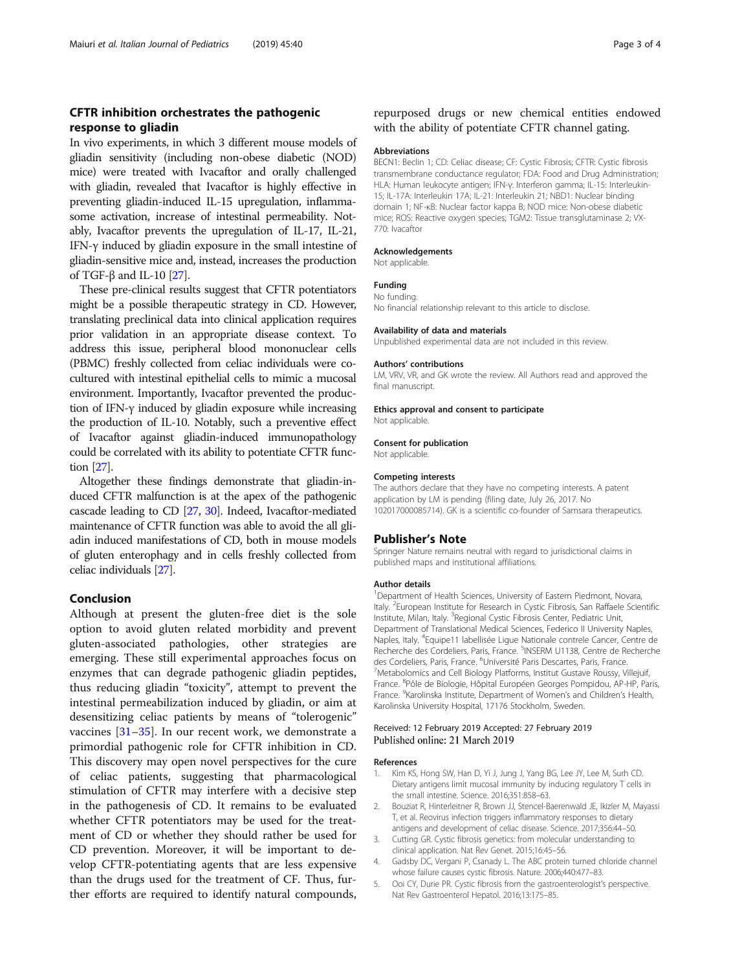## <span id="page-2-0"></span>CFTR inhibition orchestrates the pathogenic response to gliadin

In vivo experiments, in which 3 different mouse models of gliadin sensitivity (including non-obese diabetic (NOD) mice) were treated with Ivacaftor and orally challenged with gliadin, revealed that Ivacaftor is highly effective in preventing gliadin-induced IL-15 upregulation, inflammasome activation, increase of intestinal permeability. Notably, Ivacaftor prevents the upregulation of IL-17, IL-21, IFN-γ induced by gliadin exposure in the small intestine of gliadin-sensitive mice and, instead, increases the production of TGF-β and IL-10 [\[27\]](#page-3-0).

These pre-clinical results suggest that CFTR potentiators might be a possible therapeutic strategy in CD. However, translating preclinical data into clinical application requires prior validation in an appropriate disease context. To address this issue, peripheral blood mononuclear cells (PBMC) freshly collected from celiac individuals were cocultured with intestinal epithelial cells to mimic a mucosal environment. Importantly, Ivacaftor prevented the production of IFN-γ induced by gliadin exposure while increasing the production of IL-10. Notably, such a preventive effect of Ivacaftor against gliadin-induced immunopathology could be correlated with its ability to potentiate CFTR function [[27](#page-3-0)].

Altogether these findings demonstrate that gliadin-induced CFTR malfunction is at the apex of the pathogenic cascade leading to CD [\[27,](#page-3-0) [30\]](#page-3-0). Indeed, Ivacaftor-mediated maintenance of CFTR function was able to avoid the all gliadin induced manifestations of CD, both in mouse models of gluten enterophagy and in cells freshly collected from celiac individuals [[27\]](#page-3-0).

## Conclusion

Although at present the gluten-free diet is the sole option to avoid gluten related morbidity and prevent gluten-associated pathologies, other strategies are emerging. These still experimental approaches focus on enzymes that can degrade pathogenic gliadin peptides, thus reducing gliadin "toxicity", attempt to prevent the intestinal permeabilization induced by gliadin, or aim at desensitizing celiac patients by means of "tolerogenic" vaccines  $[31-35]$  $[31-35]$  $[31-35]$ . In our recent work, we demonstrate a primordial pathogenic role for CFTR inhibition in CD. This discovery may open novel perspectives for the cure of celiac patients, suggesting that pharmacological stimulation of CFTR may interfere with a decisive step in the pathogenesis of CD. It remains to be evaluated whether CFTR potentiators may be used for the treatment of CD or whether they should rather be used for CD prevention. Moreover, it will be important to develop CFTR-potentiating agents that are less expensive than the drugs used for the treatment of CF. Thus, further efforts are required to identify natural compounds,

## repurposed drugs or new chemical entities endowed with the ability of potentiate CFTR channel gating.

#### Abbreviations

BECN1: Beclin 1; CD: Celiac disease; CF: Cystic Fibrosis; CFTR: Cystic fibrosis transmembrane conductance regulator; FDA: Food and Drug Administration; HLA: Human leukocyte antigen; IFN-γ: Interferon gamma; IL-15: Interleukin-15; IL-17A: Interleukin 17A; IL-21: Interleukin 21; NBD1: Nuclear binding domain 1; NF-κB: Nuclear factor kappa B; NOD mice: Non-obese diabetic mice; ROS: Reactive oxygen species; TGM2: Tissue transglutaminase 2; VX-770: Ivacaftor

#### Acknowledgements

Not applicable.

#### Funding

No funding.

No financial relationship relevant to this article to disclose.

#### Availability of data and materials

Unpublished experimental data are not included in this review.

#### Authors' contributions

LM, VRV, VR, and GK wrote the review. All Authors read and approved the final manuscript.

#### Ethics approval and consent to participate Not applicable.

## Consent for publication

Not applicable.

#### Competing interests

The authors declare that they have no competing interests. A patent application by LM is pending (filing date, July 26, 2017. No 102017000085714). GK is a scientific co-founder of Samsara therapeutics.

#### Publisher's Note

Springer Nature remains neutral with regard to jurisdictional claims in published maps and institutional affiliations.

#### Author details

<sup>1</sup>Department of Health Sciences, University of Eastern Piedmont, Novara, Italy. <sup>2</sup>European Institute for Research in Cystic Fibrosis, San Raffaele Scientific Institute, Milan, Italy. <sup>3</sup> Regional Cystic Fibrosis Center, Pediatric Unit, Department of Translational Medical Sciences, Federico II University Naples, Naples, Italy. <sup>4</sup>Equipe11 labellisée Ligue Nationale contrele Cancer, Centre de Recherche des Cordeliers, Paris, France. <sup>5</sup>INSERM U1138, Centre de Recherche des Cordeliers, Paris, France. <sup>6</sup>Université Paris Descartes, Paris, France.<br><sup>7</sup>Metabolomics and Cell Riology Platforms Institut Gustavo Poussy V <sup>7</sup>Metabolomics and Cell Biology Platforms, Institut Gustave Roussy, Villejuif, France. <sup>8</sup>Pôle de Biologie, Hôpital Européen Georges Pompidou, AP-HP, Paris France. <sup>9</sup> Karolinska Institute, Department of Women's and Children's Health Karolinska University Hospital, 17176 Stockholm, Sweden.

#### Received: 12 February 2019 Accepted: 27 February 2019 Published online: 21 March 2019

#### References

- Kim KS, Hong SW, Han D, Yi J, Jung J, Yang BG, Lee JY, Lee M, Surh CD. Dietary antigens limit mucosal immunity by inducing regulatory T cells in the small intestine. Science. 2016;351:858–63.
- 2. Bouziat R, Hinterleitner R, Brown JJ, Stencel-Baerenwald JE, Ikizler M, Mayassi T, et al. Reovirus infection triggers inflammatory responses to dietary antigens and development of celiac disease. Science. 2017;356:44–50.
- 3. Cutting GR. Cystic fibrosis genetics: from molecular understanding to clinical application. Nat Rev Genet. 2015;16:45–56.
- 4. Gadsby DC, Vergani P, Csanady L. The ABC protein turned chloride channel whose failure causes cystic fibrosis. Nature. 2006;440:477–83.
- 5. Ooi CY, Durie PR. Cystic fibrosis from the gastroenterologist's perspective. Nat Rev Gastroenterol Hepatol. 2016;13:175–85.